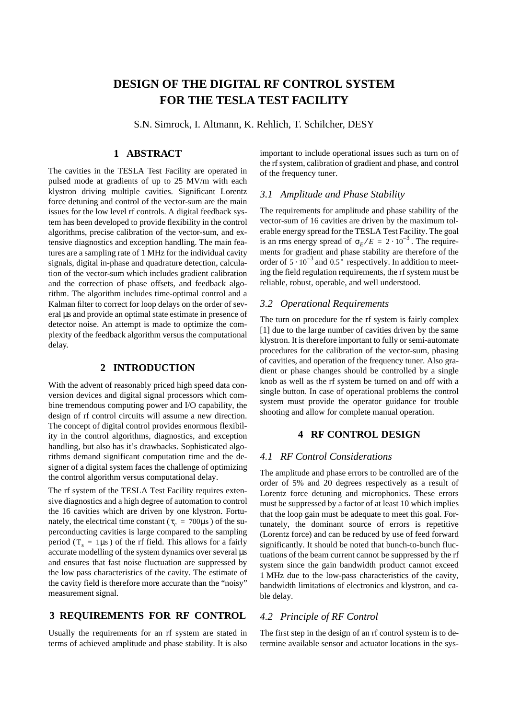# **DESIGN OF THE DIGITAL RF CONTROL SYSTEM FOR THE TESLA TEST FACILITY**

S.N. Simrock, I. Altmann, K. Rehlich, T. Schilcher, DESY

# **1 ABSTRACT**

The cavities in the TESLA Test Facility are operated in pulsed mode at gradients of up to 25 MV/m with each klystron driving multiple cavities. Significant Lorentz force detuning and control of the vector-sum are the main issues for the low level rf controls. A digital feedback system has been developed to provide flexibility in the control algorithms, precise calibration of the vector-sum, and extensive diagnostics and exception handling. The main features are a sampling rate of 1 MHz for the individual cavity signals, digital in-phase and quadrature detection, calculation of the vector-sum which includes gradient calibration and the correction of phase offsets, and feedback algorithm. The algorithm includes time-optimal control and a Kalman filter to correct for loop delays on the order of several us and provide an optimal state estimate in presence of detector noise. An attempt is made to optimize the complexity of the feedback algorithm versus the computational delay.

# **2 INTRODUCTION**

With the advent of reasonably priced high speed data conversion devices and digital signal processors which combine tremendous computing power and I/O capability, the design of rf control circuits will assume a new direction. The concept of digital control provides enormous flexibility in the control algorithms, diagnostics, and exception handling, but also has it's drawbacks. Sophisticated algorithms demand significant computation time and the designer of a digital system faces the challenge of optimizing the control algorithm versus computational delay.

The rf system of the TESLA Test Facility requires extensive diagnostics and a high degree of automation to control the 16 cavities which are driven by one klystron. Fortunately, the electrical time constant ( $\tau_c$  = 700 $\mu$ s) of the superconducting cavities is large compared to the sampling period ( $T_s = 1\mu s$ ) of the rf field. This allows for a fairly accurate modelling of the system dynamics over several µs and ensures that fast noise fluctuation are suppressed by the low pass characteristics of the cavity. The estimate of the cavity field is therefore more accurate than the "noisy" measurement signal.

#### **3 REQUIREMENTS FOR RF CONTROL**

Usually the requirements for an rf system are stated in terms of achieved amplitude and phase stability. It is also important to include operational issues such as turn on of the rf system, calibration of gradient and phase, and control of the frequency tuner.

#### *3.1 Amplitude and Phase Stability*

The requirements for amplitude and phase stability of the vector-sum of 16 cavities are driven by the maximum tolerable energy spread for the TESLA Test Facility. The goal is an rms energy spread of  $\sigma_E / E = 2 \cdot 10^{-3}$ . The requirements for gradient and phase stability are therefore of the order of  $5 \cdot 10^{-3}$  and  $0.5^{\circ}$  respectively. In addition to meeting the field regulation requirements, the rf system must be reliable, robust, operable, and well understood.

## *3.2 Operational Requirements*

The turn on procedure for the rf system is fairly complex [1] due to the large number of cavities driven by the same klystron. It is therefore important to fully or semi-automate procedures for the calibration of the vector-sum, phasing of cavities, and operation of the frequency tuner. Also gradient or phase changes should be controlled by a single knob as well as the rf system be turned on and off with a single button. In case of operational problems the control system must provide the operator guidance for trouble shooting and allow for complete manual operation.

# **4 RF CONTROL DESIGN**

#### *4.1 RF Control Considerations*

The amplitude and phase errors to be controlled are of the order of 5% and 20 degrees respectively as a result of Lorentz force detuning and microphonics. These errors must be suppressed by a factor of at least 10 which implies that the loop gain must be adequate to meet this goal. Fortunately, the dominant source of errors is repetitive (Lorentz force) and can be reduced by use of feed forward significantly. It should be noted that bunch-to-bunch fluctuations of the beam current cannot be suppressed by the rf system since the gain bandwidth product cannot exceed 1 MHz due to the low-pass characteristics of the cavity, bandwidth limitations of electronics and klystron, and cable delay.

# *4.2 Principle of RF Control*

The first step in the design of an rf control system is to determine available sensor and actuator locations in the sys-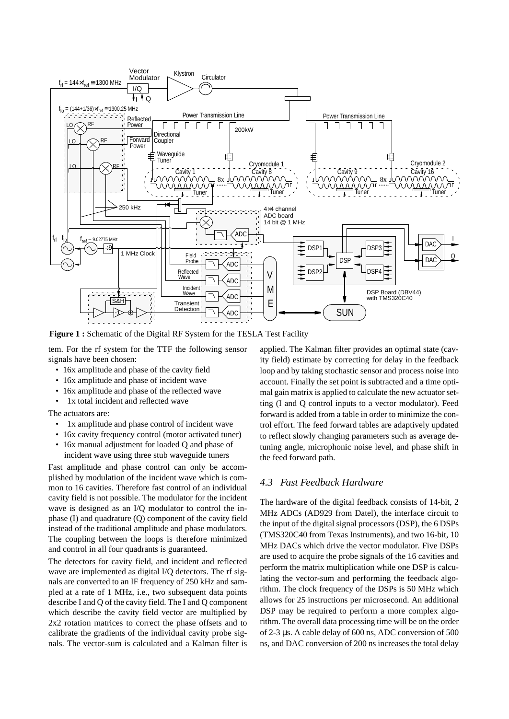

**Figure 1 :** Schematic of the Digital RF System for the TESLA Test Facility

tem. For the rf system for the TTF the following sensor signals have been chosen:

- 16x amplitude and phase of the cavity field
- 16x amplitude and phase of incident wave
- 16x amplitude and phase of the reflected wave
- 1x total incident and reflected wave

The actuators are:

- 1x amplitude and phase control of incident wave
- 16x cavity frequency control (motor activated tuner)
- 16x manual adjustment for loaded Q and phase of incident wave using three stub waveguide tuners

Fast amplitude and phase control can only be accomplished by modulation of the incident wave which is common to 16 cavities. Therefore fast control of an individual cavity field is not possible. The modulator for the incident wave is designed as an I/Q modulator to control the inphase (I) and quadrature (Q) component of the cavity field instead of the traditional amplitude and phase modulators. The coupling between the loops is therefore minimized and control in all four quadrants is guaranteed.

The detectors for cavity field, and incident and reflected wave are implemented as digital I/Q detectors. The rf signals are converted to an IF frequency of 250 kHz and sampled at a rate of 1 MHz, i.e., two subsequent data points describe I and Q of the cavity field. The I and Q component which describe the cavity field vector are multiplied by 2x2 rotation matrices to correct the phase offsets and to calibrate the gradients of the individual cavity probe signals. The vector-sum is calculated and a Kalman filter is

applied. The Kalman filter provides an optimal state (cavity field) estimate by correcting for delay in the feedback loop and by taking stochastic sensor and process noise into account. Finally the set point is subtracted and a time optimal gain matrix is applied to calculate the new actuator setting (I and Q control inputs to a vector modulator). Feed forward is added from a table in order to minimize the control effort. The feed forward tables are adaptively updated to reflect slowly changing parameters such as average detuning angle, microphonic noise level, and phase shift in the feed forward path.

# *4.3 Fast Feedback Hardware*

The hardware of the digital feedback consists of 14-bit, 2 MHz ADCs (AD929 from Datel), the interface circuit to the input of the digital signal processors (DSP), the 6 DSPs (TMS320C40 from Texas Instruments), and two 16-bit, 10 MHz DACs which drive the vector modulator. Five DSPs are used to acquire the probe signals of the 16 cavities and perform the matrix multiplication while one DSP is calculating the vector-sum and performing the feedback algorithm. The clock frequency of the DSPs is 50 MHz which allows for 25 instructions per microsecond. An additional DSP may be required to perform a more complex algorithm. The overall data processing time will be on the order of 2-3 µs. A cable delay of 600 ns, ADC conversion of 500 ns, and DAC conversion of 200 ns increases the total delay